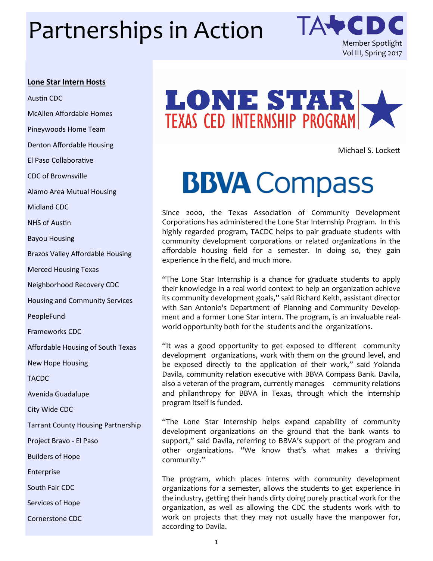# Partnerships in Action TA+CDC



#### **Lone Star Intern Hosts**

Austin CDC McAllen Affordable Homes Pineywoods Home Team Denton Affordable Housing El Paso Collaborative CDC of Brownsville Alamo Area Mutual Housing Midland CDC NHS of Austin Bayou Housing Brazos Valley Affordable Housing Merced Housing Texas Neighborhood Recovery CDC Housing and Community Services PeopleFund Frameworks CDC Affordable Housing of South Texas New Hope Housing **TACDC** Avenida Guadalupe City Wide CDC Tarrant County Housing Partnership Project Bravo - El Paso Builders of Hope Enterprise South Fair CDC Services of Hope Cornerstone CDC



Michael S. Lockett

## **BBVA** Compass

Since 2000, the Texas Association of Community Development Corporations has administered the Lone Star Internship Program. In this highly regarded program, TACDC helps to pair graduate students with community development corporations or related organizations in the affordable housing field for a semester. In doing so, they gain experience in the field, and much more.

"The Lone Star Internship is a chance for graduate students to apply their knowledge in a real world context to help an organization achieve its community development goals," said Richard Keith, assistant director with San Antonio's Department of Planning and Community Development and a former Lone Star intern. The program, is an invaluable realworld opportunity both for the students and the organizations.

"It was a good opportunity to get exposed to different community development organizations, work with them on the ground level, and be exposed directly to the application of their work," said Yolanda Davila, community relation executive with BBVA Compass Bank. Davila, also a veteran of the program, currently manages community relations and philanthropy for BBVA in Texas, through which the internship program itself is funded.

"The Lone Star Internship helps expand capability of community development organizations on the ground that the bank wants to support," said Davila, referring to BBVA's support of the program and other organizations. "We know that's what makes a thriving community."

The program, which places interns with community development organizations for a semester, allows the students to get experience in the industry, getting their hands dirty doing purely practical work for the organization, as well as allowing the CDC the students work with to work on projects that they may not usually have the manpower for, according to Davila.